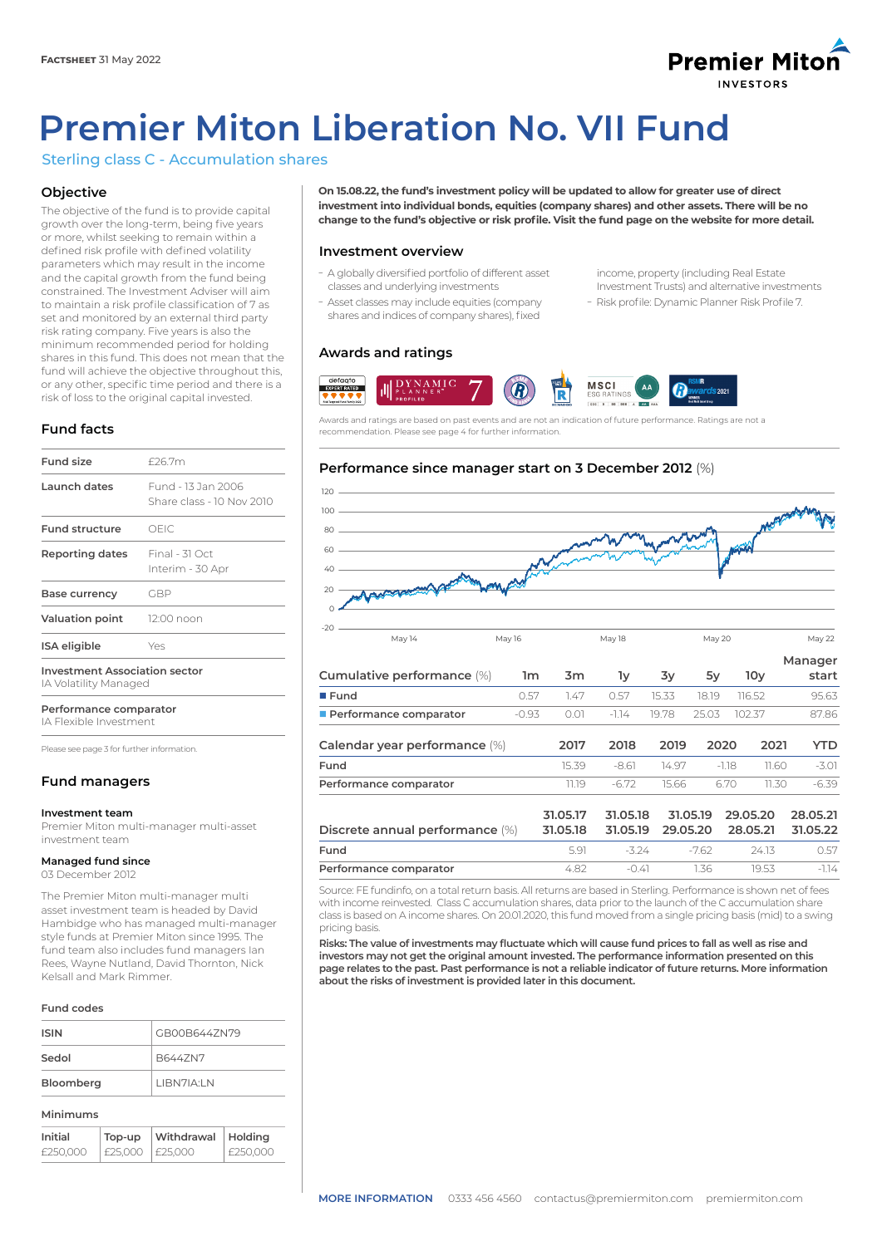# **Premier Mitor INVESTODS**

# **Premier Miton Liberation No. VII Fund**

# Sterling class C - Accumulation shares

# **Objective**

The objective of the fund is to provide capital growth over the long-term, being five years or more, whilst seeking to remain within a defined risk profile with defined volatility parameters which may result in the income and the capital growth from the fund being constrained. The Investment Adviser will aim to maintain a risk profile classification of 7 as set and monitored by an external third party risk rating company. Five years is also the minimum recommended period for holding shares in this fund. This does not mean that the fund will achieve the objective throughout this, or any other, specific time period and there is a risk of loss to the original capital invested.

# **Fund facts**

| <b>Fund size</b>                     | £26.7m                                          |  |
|--------------------------------------|-------------------------------------------------|--|
| Launch dates                         | Fund - 13 Jan 2006<br>Share class - 10 Nov 2010 |  |
| Fund structure                       | OFIC.                                           |  |
| Reporting dates                      | Final - 31 Oct<br>Interim - 30 Apr              |  |
| Base currency                        | GBP                                             |  |
| <b>Valuation point</b>               | 12:00 noon                                      |  |
| <b>ISA</b> eligible                  | Yes                                             |  |
| <b>Investment Association sector</b> |                                                 |  |

IA Volatility Managed

**Performance comparator**

IA Flexible Investment

Please see page 3 for further information.

# **Fund managers**

# **Investment team**

Premier Miton multi-manager multi-asset investment team

# **Managed fund since**

03 December 2012

The Premier Miton multi-manager multi asset investment team is headed by David Hambidge who has managed multi-manager style funds at Premier Miton since 1995. The fund team also includes fund managers Ian Rees, Wayne Nutland, David Thornton, Nick Kelsall and Mark Rimmer.

# **Fund codes**

| <b>ISIN</b> | GB00B644ZN79              |
|-------------|---------------------------|
| Sedol       | B6447N7                   |
| Bloomberg   | I IBN7IA <sup>.</sup> I N |

#### **Minimums**

| Initial  | Top-up          | Withdrawal | Holdina    |
|----------|-----------------|------------|------------|
| £250.000 | £25,000 E25,000 |            | i £250.000 |

**On 15.08.22, the fund's investment policy will be updated to allow for greater use of direct investment into individual bonds, equities (company shares) and other assets. There will be no change to the fund's objective or risk profile. Visit the fund page on the website for more detail.**

# **Investment overview**

- A globally diversified portfolio of different asset classes and underlying investments
- Asset classes may include equities (company shares and indices of company shares), fixed

income, property (including Real Estate Investment Trusts) and alternative investments - Risk profile: Dynamic Planner Risk Profile 7.

# **Awards and ratings**



Awards and ratings are based on past events and are not an indication of future performance. Ratings are not a recommendation. Please see page 4 for further information.

# **Performance since manager start on 3 December 2012** (%)



|                                 |         |                      |                      |          |          |                      |       | Manager              |
|---------------------------------|---------|----------------------|----------------------|----------|----------|----------------------|-------|----------------------|
| Cumulative performance (%)      | 1m      | 3m                   | lу                   | 3y       | 5y       | 10 <sub>V</sub>      |       | start                |
| $I$ Fund                        | 0.57    | 1.47                 | 0.57                 | 15.33    | 18.19    | 116.52               |       | 95.63                |
| Performance comparator          | $-0.93$ | 0.01                 | $-1.14$              | 19.78    | 25.03    | 102.37               |       | 87.86                |
| Calendar year performance (%)   |         | 2017                 | 2018                 | 2019     | 2020     |                      | 2021  | <b>YTD</b>           |
| Fund                            |         | 15.39                | -8.61                | 14.97    |          | -1.18                | 11.60 | $-3.01$              |
| Performance comparator          |         | 11.19                | $-6.72$              | 15.66    |          | 6.70                 | 11.30 | $-6.39$              |
| Discrete annual performance (%) |         | 31.05.17<br>31.05.18 | 31.05.18<br>31.05.19 | 29.05.20 | 31.05.19 | 29.05.20<br>28.05.21 |       | 28.05.21<br>31.05.22 |
| Fund                            |         | 5.91                 | $-3.24$              |          | $-7.62$  | 24.13                |       | 0.57                 |
| Performance comparator          |         | 4.82                 | $-0.41$              |          | 1.36     | 19.53                |       | $-1.14$              |

Source: FE fundinfo, on a total return basis. All returns are based in Sterling. Performance is shown net of fees with income reinvested. Class C accumulation shares, data prior to the launch of the C accumulation share class is based on A income shares. On 20.01.2020, this fund moved from a single pricing basis (mid) to a swing pricing basis.

**Risks: The value of investments may fluctuate which will cause fund prices to fall as well as rise and investors may not get the original amount invested. The performance information presented on this page relates to the past. Past performance is not a reliable indicator of future returns. More information about the risks of investment is provided later in this document.**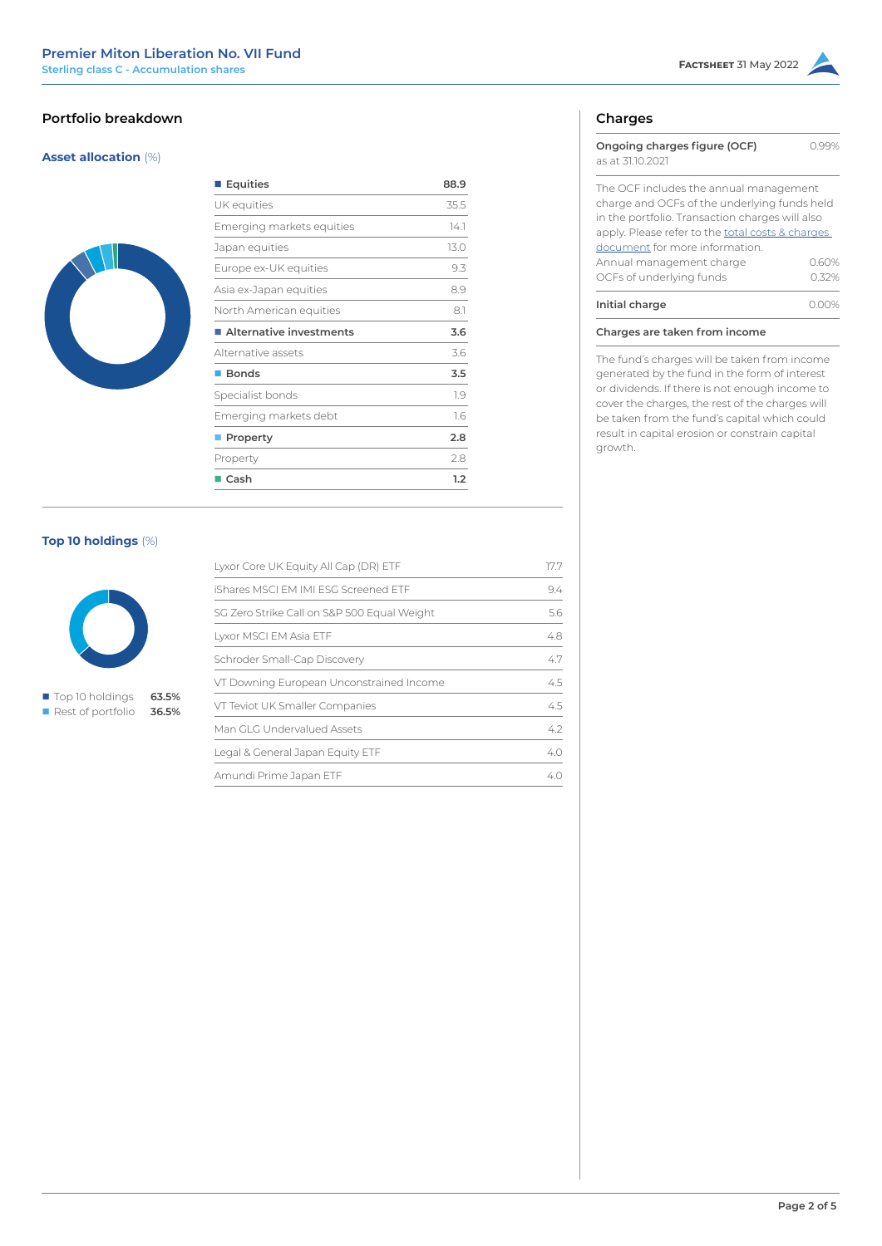# **Portfolio breakdown**

# **Asset allocation** (%)



| ■ Equities                | 88.9 |  |  |
|---------------------------|------|--|--|
| UK equities               | 35.5 |  |  |
| Emerging markets equities | 14.1 |  |  |
| Japan equities            | 13.0 |  |  |
| Europe ex-UK equities     | 9.3  |  |  |
| Asia ex-Japan equities    | 89   |  |  |
| North American equities   | 8.1  |  |  |
| Alternative investments   | 3.6  |  |  |
| Alternative assets        | 3.6  |  |  |
| ■ Bonds                   | 3.5  |  |  |
| Specialist bonds          | 1.9  |  |  |
| Emerging markets debt     | 1.6  |  |  |
| <b>Property</b>           | 2.8  |  |  |
| Property                  | 2.8  |  |  |
| $\blacksquare$ Cash       | 1.2  |  |  |

# **Top 10 holdings** (%)



n Rest of portfolio **36.5%**

| Lyxor Core UK Equity All Cap (DR) ETF       | 177 |
|---------------------------------------------|-----|
| iShares MSCI FM IMI FSG Screened FTF        | 9.4 |
| SG Zero Strike Call on S&P 500 Equal Weight | 56  |
| Lyxor MSCI EM Asia ETF                      | 48  |
| Schroder Small-Cap Discovery                | 47  |
| VT Downing European Unconstrained Income    | 45  |
| VT Teviot UK Smaller Companies              | 45  |
| Man GLG Undervalued Assets                  | 42  |
| Legal & General Japan Equity ETF            | 4.0 |
| Amundi Prime Japan ETF                      | 4 C |

# **Charges**

| Ongoing charges figure (OCF)<br>as at 3110.2021                                                                                                                                               |       |
|-----------------------------------------------------------------------------------------------------------------------------------------------------------------------------------------------|-------|
| The OCF includes the annual management<br>charge and OCFs of the underlying funds held<br>in the portfolio. Transaction charges will also<br>apply. Please refer to the total costs & charges |       |
| document for more information.                                                                                                                                                                |       |
| Annual management charge                                                                                                                                                                      | 0.60% |
| OCFs of underlying funds                                                                                                                                                                      | 0.32% |
| Initial charge                                                                                                                                                                                |       |

**Charges are taken from income**

The fund's charges will be taken from income generated by the fund in the form of interest or dividends. If there is not enough income to cover the charges, the rest of the charges will be taken from the fund's capital which could result in capital erosion or constrain capital growth.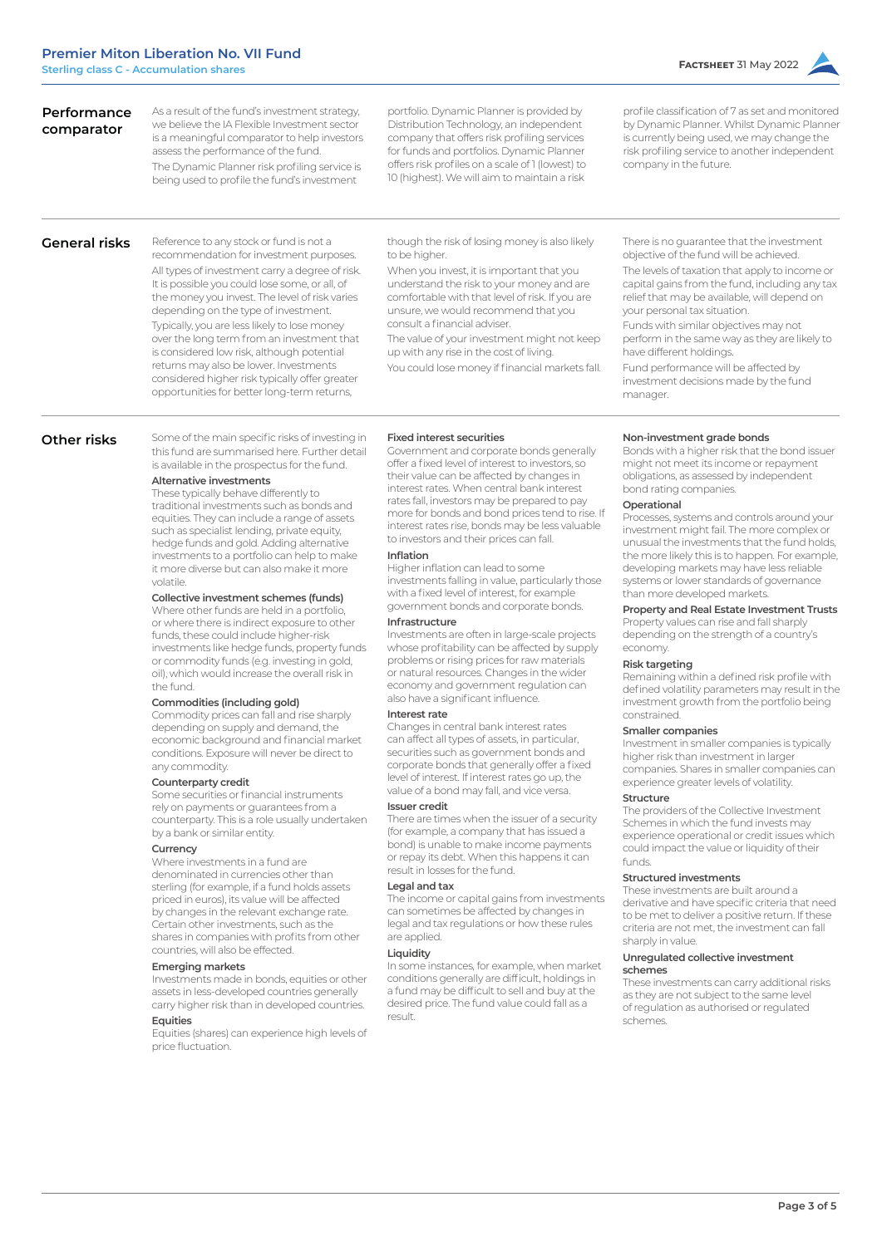| portfolio. Dynamic Planner is provided by<br>Distribution Technology, an independent<br>company that offers risk profiling services<br>for funds and portfolios. Dynamic Planner<br>offers risk profiles on a scale of 1 (lowest) to<br>10 (highest). We will aim to maintain a risk | profile classification of 7 as set and monitored<br>by Dynamic Planner. Whilst Dynamic Planner<br>is currently being used, we may change the<br>risk profiling service to another independent<br>company in the future. |
|--------------------------------------------------------------------------------------------------------------------------------------------------------------------------------------------------------------------------------------------------------------------------------------|-------------------------------------------------------------------------------------------------------------------------------------------------------------------------------------------------------------------------|
|                                                                                                                                                                                                                                                                                      |                                                                                                                                                                                                                         |

# **General risks**

**Performance comparator**

> Reference to any stock or fund is not a recommendation for investment purposes. All types of investment carry a degree of risk. It is possible you could lose some, or all, of the money you invest. The level of risk varies depending on the type of investment. Typically, you are less likely to lose money over the long term from an investment that is considered low risk, although potential returns may also be lower. Investments considered higher risk typically offer greater opportunities for better long-term returns,

As a result of the fund's investment strategy, we believe the IA Flexible Investment sector is a meaningful comparator to help investors assess the performance of the fund. The Dynamic Planner risk profiling service is being used to profile the fund's investment

> though the risk of losing money is also likely to be higher

> When you invest, it is important that you understand the risk to your money and are comfortable with that level of risk. If you are unsure, we would recommend that you consult a financial adviser.

The value of your investment might not keep up with any rise in the cost of living.

You could lose money if financial markets fall.

There is no guarantee that the investment objective of the fund will be achieved. The levels of taxation that apply to income or capital gains from the fund, including any tax relief that may be available, will depend on your personal tax situation.

Funds with similar objectives may not perform in the same way as they are likely to have different holdings.

Fund performance will be affected by investment decisions made by the fund manager.

# **Other risks**

is available in the prospectus for the fund. **Alternative investments** These typically behave differently to

traditional investments such as bonds and equities. They can include a range of assets such as specialist lending, private equity, hedge funds and gold. Adding alternative investments to a portfolio can help to make it more diverse but can also make it more volatile.

Some of the main specific risks of investing in this fund are summarised here. Further detail

# **Collective investment schemes (funds)**

Where other funds are held in a portfolio or where there is indirect exposure to other funds, these could include higher-risk investments like hedge funds, property funds or commodity funds (e.g. investing in gold, oil), which would increase the overall risk in the fund.

# **Commodities (including gold)**

Commodity prices can fall and rise sharply depending on supply and demand, the economic background and financial market conditions. Exposure will never be direct to any commodity.

# **Counterparty credit**

Some securities or financial instruments rely on payments or guarantees from a counterparty. This is a role usually undertaken by a bank or similar entity.

# **Currency**

Where investments in a fund are denominated in currencies other than sterling (for example, if a fund holds assets priced in euros), its value will be affected by changes in the relevant exchange rate. Certain other investments, such as the shares in companies with profits from other countries, will also be effected.

#### **Emerging markets**

Investments made in bonds, equities or other assets in less-developed countries generally carry higher risk than in developed countries.

#### **Equities**

Equities (shares) can experience high levels of price fluctuation.

#### **Fixed interest securities**

Government and corporate bonds generally offer a fixed level of interest to investors, so their value can be affected by changes in interest rates. When central bank interest rates fall, investors may be prepared to pay more for bonds and bond prices tend to rise. If interest rates rise, bonds may be less valuable to investors and their prices can fall.

#### **Inflation**

Higher inflation can lead to some investments falling in value, particularly those with a fixed level of interest, for example government bonds and corporate bonds.

# **Infrastructure**

Investments are often in large-scale projects whose profitability can be affected by supply problems or rising prices for raw materials or natural resources. Changes in the wider economy and government regulation can also have a significant influence.

#### **Interest rate**

Changes in central bank interest rates can affect all types of assets, in particular, securities such as government bonds and corporate bonds that generally offer a fixed level of interest. If interest rates go up, the value of a bond may fall, and vice versa.

# **Issuer credit**

There are times when the issuer of a security (for example, a company that has issued a bond) is unable to make income payments or repay its debt. When this happens it can result in losses for the fund.

# **Legal and tax**

The income or capital gains from investments can sometimes be affected by changes in legal and tax regulations or how these rules are applied.

#### **Liquidity**

In some instances, for example, when market conditions generally are difficult, holdings in a fund may be difficult to sell and buy at the desired price. The fund value could fall as a result.

#### **Non-investment grade bonds**

Bonds with a higher risk that the bond issuer might not meet its income or repayment obligations, as assessed by independent bond rating companies.

#### **Operational**

Processes, systems and controls around your investment might fail. The more complex or unusual the investments that the fund holds, the more likely this is to happen. For example, developing markets may have less reliable systems or lower standards of governance than more developed markets.

#### **Property and Real Estate Investment Trusts**

Property values can rise and fall sharply depending on the strength of a country's economy.

# **Risk targeting**

Remaining within a defined risk profile with defined volatility parameters may result in the investment growth from the portfolio being constrained.

# **Smaller companies**

Investment in smaller companies is typically higher risk than investment in larger companies. Shares in smaller companies can experience greater levels of volatility.

# **Structure**

The providers of the Collective Investment Schemes in which the fund invests may experience operational or credit issues which could impact the value or liquidity of their funds.

# **Structured investments**

These investments are built around a derivative and have specific criteria that need to be met to deliver a positive return. If these criteria are not met, the investment can fall sharply in value.

#### **Unregulated collective investment schemes**

These investments can carry additional risks as they are not subject to the same level of regulation as authorised or regulated schemes.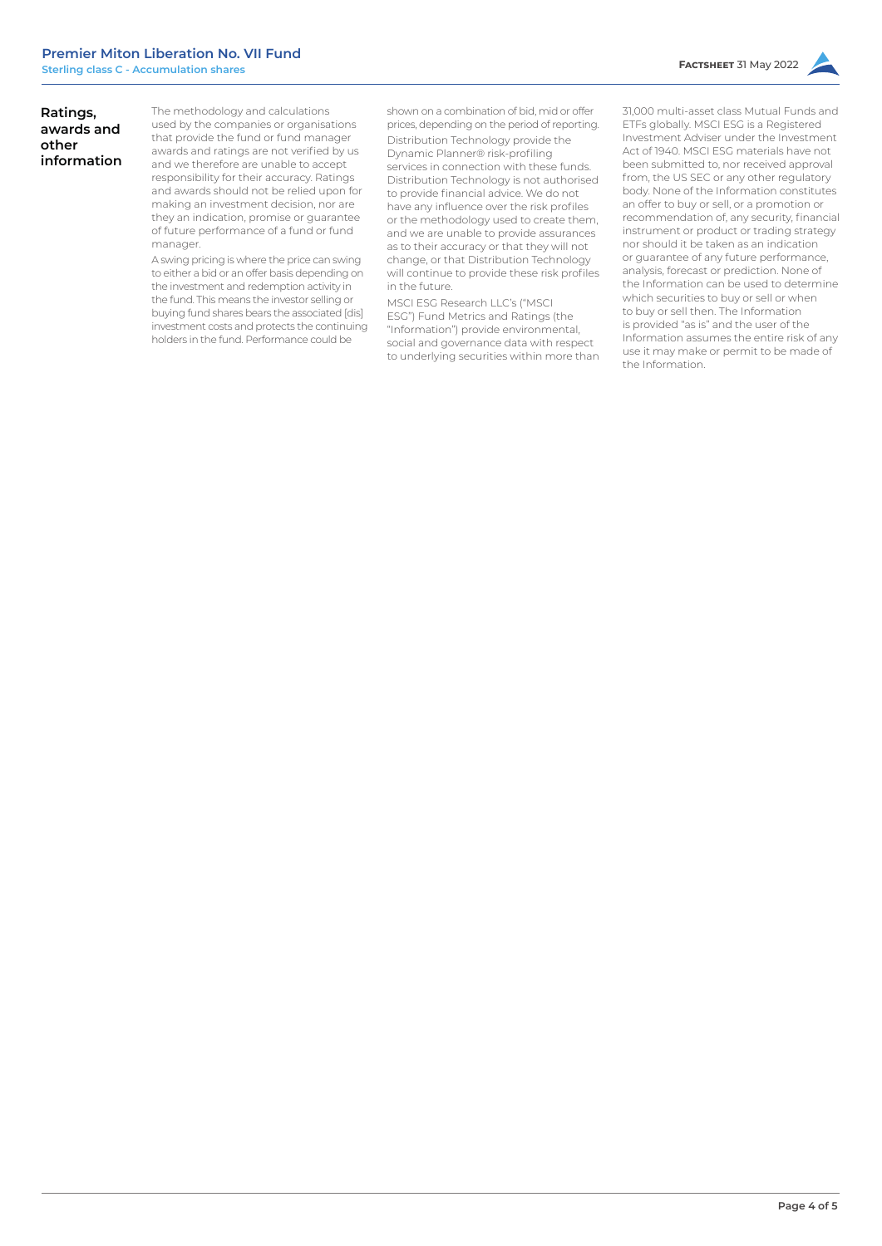# **Ratings, awards and other information**

The methodology and calculations used by the companies or organisations that provide the fund or fund manager awards and ratings are not verified by us and we therefore are unable to accept responsibility for their accuracy. Ratings and awards should not be relied upon for making an investment decision, nor are they an indication, promise or guarantee of future performance of a fund or fund manager.

A swing pricing is where the price can swing to either a bid or an offer basis depending on the investment and redemption activity in the fund. This means the investor selling or buying fund shares bears the associated [dis] investment costs and protects the continuing holders in the fund. Performance could be

shown on a combination of bid, mid or offer prices, depending on the period of reporting. Distribution Technology provide the Dynamic Planner® risk-profiling services in connection with these funds. Distribution Technology is not authorised to provide financial advice. We do not have any influence over the risk profiles or the methodology used to create them, and we are unable to provide assurances as to their accuracy or that they will not change, or that Distribution Technology will continue to provide these risk profiles in the future.

MSCI ESG Research LLC's ("MSCI ESG") Fund Metrics and Ratings (the "Information") provide environmental, social and governance data with respect to underlying securities within more than

31,000 multi-asset class Mutual Funds and ETFs globally. MSCI ESG is a Registered Investment Adviser under the Investment Act of 1940. MSCI ESG materials have not been submitted to, nor received approval from, the US SEC or any other regulatory body. None of the Information constitutes an offer to buy or sell, or a promotion or recommendation of, any security, financial instrument or product or trading strategy nor should it be taken as an indication or guarantee of any future performance, analysis, forecast or prediction. None of the Information can be used to determine which securities to buy or sell or when to buy or sell then. The Information is provided "as is" and the user of the Information assumes the entire risk of any use it may make or permit to be made of the Information.